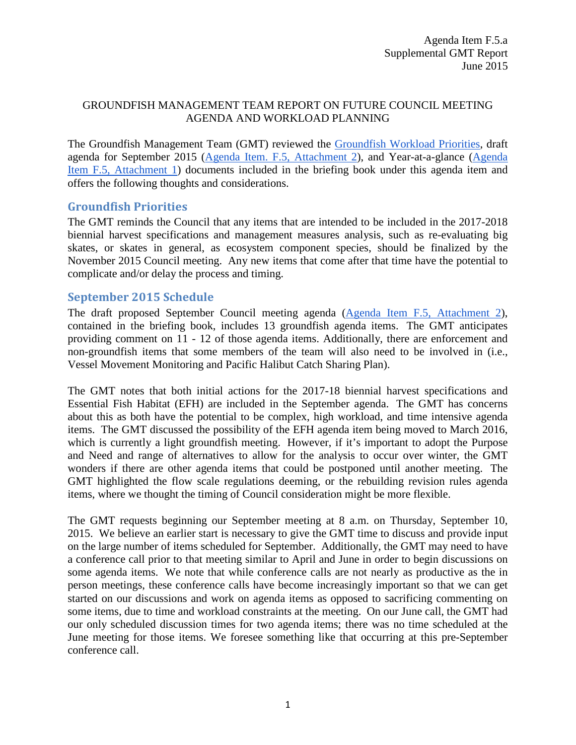## GROUNDFISH MANAGEMENT TEAM REPORT ON FUTURE COUNCIL MEETING AGENDA AND WORKLOAD PLANNING

The Groundfish Management Team (GMT) reviewed the [Groundfish Workload Priorities,](http://www.pcouncil.org/wp-content/uploads/2015/05/F5_Att3_GFworkload_JUN2015BB.pdf) draft agenda for September 2015 [\(Agenda Item. F.5, Attachment 2\)](http://www.pcouncil.org/wp-content/uploads/2015/05/F5_Att2_Sept15QR_JUN2015BB.pdf), and Year-at-a-glance [\(Agenda](http://www.pcouncil.org/wp-content/uploads/2015/05/F5_Att1_YAG_JUN2015BB.pdf)  [Item F.5, Attachment 1\)](http://www.pcouncil.org/wp-content/uploads/2015/05/F5_Att1_YAG_JUN2015BB.pdf) documents included in the briefing book under this agenda item and offers the following thoughts and considerations.

## **Groundfish Priorities**

The GMT reminds the Council that any items that are intended to be included in the 2017-2018 biennial harvest specifications and management measures analysis, such as re-evaluating big skates, or skates in general, as ecosystem component species, should be finalized by the November 2015 Council meeting. Any new items that come after that time have the potential to complicate and/or delay the process and timing.

## **September 2015 Schedule**

The draft proposed September Council meeting agenda [\(Agenda Item F.5, Attachment 2\)](http://www.pcouncil.org/wp-content/uploads/2015/05/F5_Att2_Sept15QR_JUN2015BB.pdf), contained in the briefing book, includes 13 groundfish agenda items. The GMT anticipates providing comment on 11 - 12 of those agenda items. Additionally, there are enforcement and non-groundfish items that some members of the team will also need to be involved in (i.e., Vessel Movement Monitoring and Pacific Halibut Catch Sharing Plan).

The GMT notes that both initial actions for the 2017-18 biennial harvest specifications and Essential Fish Habitat (EFH) are included in the September agenda. The GMT has concerns about this as both have the potential to be complex, high workload, and time intensive agenda items. The GMT discussed the possibility of the EFH agenda item being moved to March 2016, which is currently a light groundfish meeting. However, if it's important to adopt the Purpose and Need and range of alternatives to allow for the analysis to occur over winter, the GMT wonders if there are other agenda items that could be postponed until another meeting. The GMT highlighted the flow scale regulations deeming, or the rebuilding revision rules agenda items, where we thought the timing of Council consideration might be more flexible.

The GMT requests beginning our September meeting at 8 a.m. on Thursday, September 10, 2015. We believe an earlier start is necessary to give the GMT time to discuss and provide input on the large number of items scheduled for September. Additionally, the GMT may need to have a conference call prior to that meeting similar to April and June in order to begin discussions on some agenda items. We note that while conference calls are not nearly as productive as the in person meetings, these conference calls have become increasingly important so that we can get started on our discussions and work on agenda items as opposed to sacrificing commenting on some items, due to time and workload constraints at the meeting. On our June call, the GMT had our only scheduled discussion times for two agenda items; there was no time scheduled at the June meeting for those items. We foresee something like that occurring at this pre-September conference call.